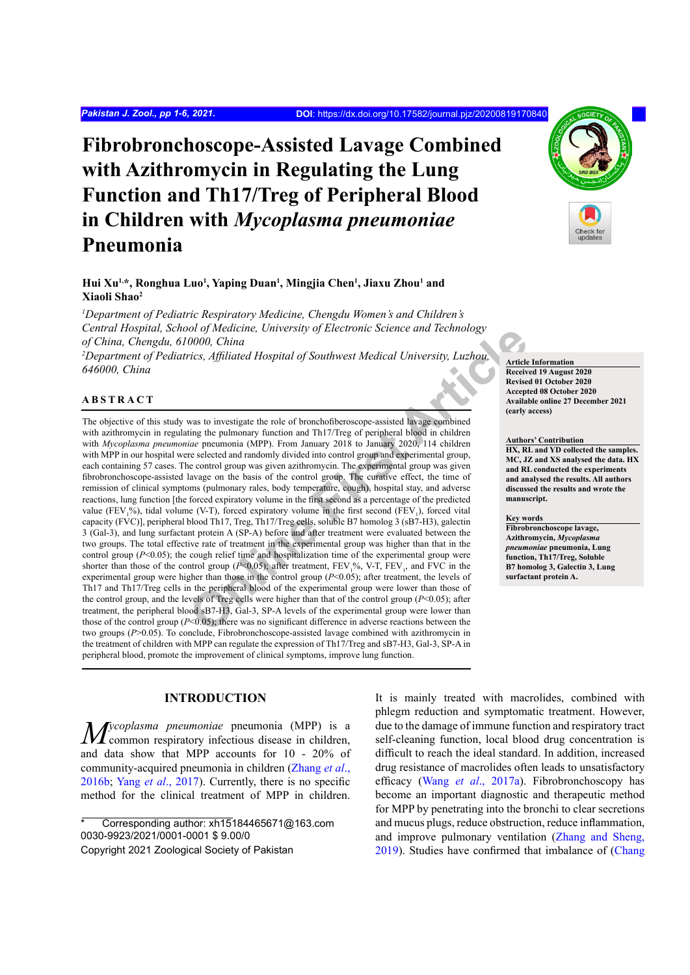# **Fibrobronchoscope-Assisted Lavage Combined with Azithromycin in Regulating the Lung Function and Th17/Treg of Peripheral Blood in Children with** *Mycoplasma pneumoniae* **Pneumonia**

# Hui Xu<sup>1,</sup>\*, Ronghua Luo<sup>1</sup>, Yaping Duan<sup>1</sup>, Mingjia Chen<sup>1</sup>, Jiaxu Zhou<sup>1</sup> and **Xiaoli Shao2**

*1 Department of Pediatric Respiratory Medicine, Chengdu Women's and Children's Central Hospital, School of Medicine, University of Electronic Science and Technology of China, Chengdu, 610000, China*

*2 Department of Pediatrics, Affiliated Hospital of Southwest Medical University, Luzhou, 646000, China*

### **ABSTRACT**

**Online The Constrainer Constrainer Constrainer Constrainer (Some the preference and the published are the constrainer and the published are the series are alternational The Service of the published are parameta interpret** The objective of this study was to investigate the role of bronchofiberoscope-assisted lavage combined with azithromycin in regulating the pulmonary function and Th17/Treg of peripheral blood in children with *Mycoplasma pneumoniae* pneumonia (MPP). From January 2018 to January 2020, 114 children with MPP in our hospital were selected and randomly divided into control group and experimental group, each containing 57 cases. The control group was given azithromycin. The experimental group was given fibrobronchoscope-assisted lavage on the basis of the control group. The curative effect, the time of remission of clinical symptoms (pulmonary rales, body temperature, cough), hospital stay, and adverse reactions, lung function [the forced expiratory volume in the first second as a percentage of the predicted value (FEV<sub>1</sub>%), tidal volume (V-T), forced expiratory volume in the first second (FEV<sub>1</sub>), forced vital capacity (FVC)], peripheral blood Th17, Treg, Th17/Treg cells, soluble B7 homolog 3 (sB7-H3), galectin 3 (Gal-3), and lung surfactant protein A (SP-A) before and after treatment were evaluated between the two groups. The total effective rate of treatment in the experimental group was higher than that in the control group  $(P<0.05)$ ; the cough relief time and hospitalization time of the experimental group were shorter than those of the control group ( $P<0.05$ ); after treatment,  $FEV_1^9/6$ , V-T,  $FEV_1$ , and FVC in the experimental group were higher than those in the control group (*P*<0.05); after treatment, the levels of Th17 and Th17/Treg cells in the peripheral blood of the experimental group were lower than those of the control group, and the levels of Treg cells were higher than that of the control group (*P*<0.05); after treatment, the peripheral blood sB7-H3, Gal-3, SP-A levels of the experimental group were lower than those of the control group  $(P<0.05)$ ; there was no significant difference in adverse reactions between the two groups (*P*>0.05). To conclude, Fibrobronchoscope-assisted lavage combined with azithromycin in the treatment of children with MPP can regulate the expression of Th17/Treg and sB7-H3, Gal-3, SP-A in peripheral blood, promote the improvement of clinical symptoms, improve lung function.

### **INTRODUCTION**

*Mycoplasma pneumoniae* pneumonia (MPP) is a common respiratory infectious disease in children, and data show that MPP accounts for 10 - 20% of community-acquired pneumonia in children ([Zhang](#page-5-0) *et al*., [2016b](#page-5-0); Yang *et al*[., 2017\)](#page-5-1). Currently, there is no specific method for the clinical treatment of MPP in children.

Corresponding author: xh15184465671@163.com 0030-9923/2021/0001-0001 \$ 9.00/0 Copyright 2021 Zoological Society of Pakistan

It is mainly treated with macrolides, combined with

**Article Information Received 19 August 2020 Revised 01 October 2020 Accepted 08 October 2020 Available online 27 December 2021 (early access)**

#### **Authors' Contribution**

**HX, RL and YD collected the samples. MC, JZ and XS analysed the data. HX and RL conducted the experiments and analysed the results. All authors discussed the results and wrote the manuscript.**

#### **Key words**

**Fibrobronchoscope lavage, Azithromycin,** *Mycoplasma pneumoniae* **pneumonia, Lung function, Th17/Treg, Soluble B7 homolog 3, Galectin 3, Lung surfactant protein A.**



phlegm reduction and symptomatic treatment. However, due to the damage of immune function and respiratory tract self-cleaning function, local blood drug concentration is difficult to reach the ideal standard. In addition, increased drug resistance of macrolides often leads to unsatisfactory efficacy (Wang *et al*., 2017a). Fibrobronchoscopy has become an important diagnostic and therapeutic method for MPP by penetrating into the bronchi to clear secretions and mucus plugs, reduce obstruction, reduce inflammation, and improve pulmonary ventilation ([Zhang and Sheng,](#page-5-2) [2019\)](#page-5-2). Studies have confirmed that imbalance of [\(Chang](#page-4-0)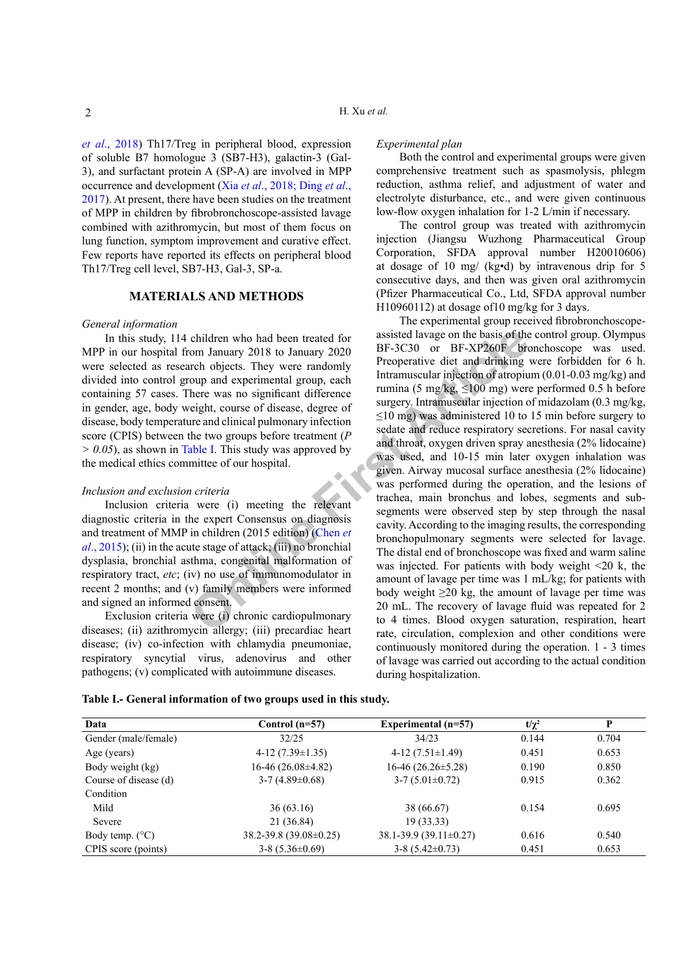*et al*[., 2018](#page-4-0)) Th17/Treg in peripheral blood, expression of soluble B7 homologue 3 (SB7-H3), galactin-3 (Gal-3), and surfactant protein A (SP-A) are involved in MPP occurrence and development (Xia *et al*[., 2018;](#page-5-3) [Ding](#page-4-1) *et al*., [2017\)](#page-4-1). At present, there have been studies on the treatment of MPP in children by fibrobronchoscope-assisted lavage combined with azithromycin, but most of them focus on lung function, symptom improvement and curative effect. Few reports have reported its effects on peripheral blood Th17/Treg cell level, SB7-H3, Gal-3, SP-a.

## **MATERIALS AND METHODS**

#### *General information*

In this study, 114 children who had been treated for MPP in our hospital from January 2018 to January 2020 were selected as research objects. They were randomly divided into control group and experimental group, each containing 57 cases. There was no significant difference in gender, age, body weight, course of disease, degree of disease, body temperature and clinical pulmonary infection score (CPIS) between the two groups before treatment (*P > 0.05*), as shown in Table I. This study was approved by the medical ethics committee of our hospital.

# *Inclusion and exclusion criteria*

Inclusion criteria were (i) meeting the relevant diagnostic criteria in the expert Consensus on diagnosis and treatment of MMP in children (2015 edition) (Chen *et al*., 2015); (ii) in the acute stage of attack; (iii) no bronchial dysplasia, bronchial asthma, congenital malformation of respiratory tract, *etc*; (iv) no use of immunomodulator in recent 2 months; and (v) family members were informed and signed an informed consent.

Exclusion criteria were (i) chronic cardiopulmonary diseases; (ii) azithromycin allergy; (iii) precardiac heart disease; (iv) co-infection with chlamydia pneumoniae, respiratory syncytial virus, adenovirus and other pathogens; (v) complicated with autoimmune diseases.

#### *Experimental plan*

Both the control and experimental groups were given comprehensive treatment such as spasmolysis, phlegm reduction, asthma relief, and adjustment of water and electrolyte disturbance, etc., and were given continuous low-flow oxygen inhalation for 1-2 L/min if necessary.

The control group was treated with azithromycin injection (Jiangsu Wuzhong Pharmaceutical Group Corporation, SFDA approval number H20010606) at dosage of 10 mg/ (kg•d) by intravenous drip for 5 consecutive days, and then was given oral azithromycin (Pfizer Pharmaceutical Co., Ltd, SFDA approval number H10960112) at dosage of10 mg/kg for 3 days.

children who had been treated for<br>
com January 2018 to January 2020<br>
BF-3C30 or BF-XP260F bit<br>
com January 2018 to January 2020<br>
Preoperative diet and drinking<br>
Intramuscular injection of atropius<br>
there was no significan The experimental group received fibrobronchoscopeassisted lavage on the basis of the control group. Olympus BF-3C30 or BF-XP260F bronchoscope was used. Preoperative diet and drinking were forbidden for 6 h. Intramuscular injection of atropium (0.01-0.03 mg/kg) and rumina (5 mg/kg,  $\leq 100$  mg) were performed 0.5 h before surgery. Intramuscular injection of midazolam (0.3 mg/kg, ≤10 mg) was administered 10 to 15 min before surgery to sedate and reduce respiratory secretions. For nasal cavity and throat, oxygen driven spray anesthesia (2% lidocaine) was used, and 10-15 min later oxygen inhalation was given. Airway mucosal surface anesthesia (2% lidocaine) was performed during the operation, and the lesions of trachea, main bronchus and lobes, segments and subsegments were observed step by step through the nasal cavity. According to the imaging results, the corresponding bronchopulmonary segments were selected for lavage. The distal end of bronchoscope was fixed and warm saline was injected. For patients with body weight  $\leq 20$  k, the amount of lavage per time was 1 mL/kg; for patients with body weight  $\geq 20$  kg, the amount of lavage per time was 20 mL. The recovery of lavage fluid was repeated for 2 to 4 times. Blood oxygen saturation, respiration, heart rate, circulation, complexion and other conditions were continuously monitored during the operation. 1 - 3 times of lavage was carried out according to the actual condition during hospitalization.

<span id="page-1-0"></span>

| Table I.- General information of two groups used in this study. |  |  |  |  |  |
|-----------------------------------------------------------------|--|--|--|--|--|
|-----------------------------------------------------------------|--|--|--|--|--|

| Data                     | Control $(n=57)$        | Experimental $(n=57)$      | $t/\chi^2$ | P     |
|--------------------------|-------------------------|----------------------------|------------|-------|
| Gender (male/female)     | 32/25                   | 34/23                      | 0.144      | 0.704 |
| Age (years)              | $4-12(7.39\pm1.35)$     | $4-12(7.51\pm1.49)$        | 0.451      | 0.653 |
| Body weight (kg)         | $16-46(26.08\pm4.82)$   | $16-46(26.26\pm5.28)$      | 0.190      | 0.850 |
| Course of disease (d)    | $3-7(4.89\pm0.68)$      | $3-7(5.01\pm0.72)$         | 0.915      | 0.362 |
| Condition                |                         |                            |            |       |
| Mild                     | 36(63.16)               | 38 (66.67)                 | 0.154      | 0.695 |
| Severe                   | 21 (36.84)              | 19 (33.33)                 |            |       |
| Body temp. $(^{\circ}C)$ | 38.2-39.8 (39.08±0.25)  | $38.1 - 39.9$ (39.11±0.27) | 0.616      | 0.540 |
| CPIS score (points)      | $3-8$ (5.36 $\pm$ 0.69) | $3-8$ (5.42 $\pm$ 0.73)    | 0.451      | 0.653 |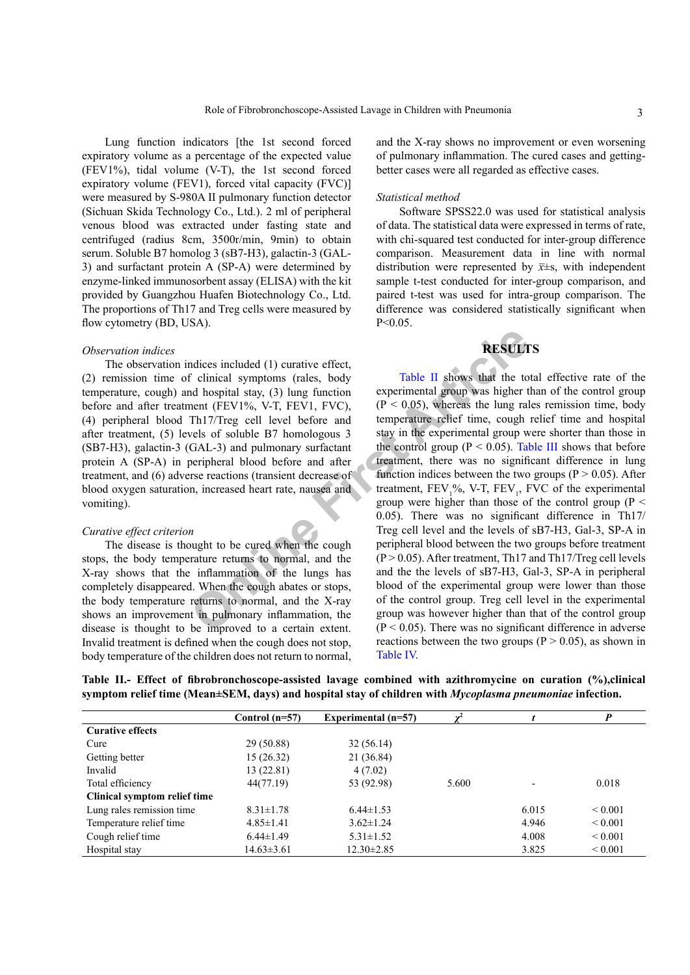Lung function indicators [the 1st second forced expiratory volume as a percentage of the expected value (FEV1%), tidal volume (V-T), the 1st second forced expiratory volume (FEV1), forced vital capacity (FVC)] were measured by S-980A II pulmonary function detector (Sichuan Skida Technology Co., Ltd.). 2 ml of peripheral venous blood was extracted under fasting state and centrifuged (radius 8cm, 3500r/min, 9min) to obtain serum. Soluble B7 homolog 3 (sB7-H3), galactin-3 (GAL-3) and surfactant protein A (SP-A) were determined by enzyme-linked immunosorbent assay (ELISA) with the kit provided by Guangzhou Huafen Biotechnology Co., Ltd. The proportions of Th17 and Treg cells were measured by flow cytometry (BD, USA).

#### *Observation indices*

The observation indices included (1) curative effect, (2) remission time of clinical symptoms (rales, body temperature, cough) and hospital stay, (3) lung function before and after treatment (FEV1%, V-T, FEV1, FVC), (4) peripheral blood Th17/Treg cell level before and after treatment, (5) levels of soluble B7 homologous 3 (SB7-H3), galactin-3 (GAL-3) and pulmonary surfactant protein A (SP-A) in peripheral blood before and after treatment, and (6) adverse reactions (transient decrease of blood oxygen saturation, increased heart rate, nausea and vomiting).

#### *Curative effect criterion*

The disease is thought to be cured when the cough stops, the body temperature returns to normal, and the X-ray shows that the inflammation of the lungs has completely disappeared. When the cough abates or stops, the body temperature returns to normal, and the X-ray shows an improvement in pulmonary inflammation, the disease is thought to be improved to a certain extent. Invalid treatment is defined when the cough does not stop, body temperature of the children does not return to normal,

and the X-ray shows no improvement or even worsening of pulmonary inflammation. The cured cases and gettingbetter cases were all regarded as effective cases.

#### *Statistical method*

Software SPSS22.0 was used for statistical analysis of data. The statistical data were expressed in terms of rate, with chi-squared test conducted for inter-group difference comparison. Measurement data in line with normal distribution were represented by  $\bar{x}$ ±s, with independent sample t-test conducted for inter-group comparison, and paired t-test was used for intra-group comparison. The difference was considered statistically significant when  $P < 0.05$ .

# **RESULTS**

**RESULT**<br> **COLL TEREMENT ARRAMELAT SURFALL SURFALL SURFALL SURFALL SURFALL SURFALL SURFALL SURFALL SURFALL AND SURFALL ARRAMELAT SURFALL ARE COLL AT A THE COLL AT A THE COLL AND SURFALL ARRAMELAT SURFALL ARRAMELAT ARRAMELA** Table II shows that the total effective rate of the experimental group was higher than of the control group  $(P < 0.05)$ , whereas the lung rales remission time, body temperature relief time, cough relief time and hospital stay in the experimental group were shorter than those in the control group ( $P < 0.05$ ). [Table III](#page-3-0) shows that before treatment, there was no significant difference in lung function indices between the two groups ( $P > 0.05$ ). After treatment,  $FEV_1\%$ , V-T,  $FEV_1$ , FVC of the experimental group were higher than those of the control group ( $P \le$ 0.05). There was no significant difference in Th17/ Treg cell level and the levels of sB7-H3, Gal-3, SP-A in peripheral blood between the two groups before treatment  $(P > 0.05)$ . After treatment, Th17 and Th17/Treg cell levels and the the levels of sB7-H3, Gal-3, SP-A in peripheral blood of the experimental group were lower than those of the control group. Treg cell level in the experimental group was however higher than that of the control group  $(P < 0.05)$ . There was no significant difference in adverse reactions between the two groups ( $P > 0.05$ ), as shown in [Table](#page-3-1) IV.

<span id="page-2-0"></span>

|  | Table II.- Effect of fibrobronchoscope-assisted lavage combined with azithromycine on curation (%), clinical    |  |  |  |
|--|-----------------------------------------------------------------------------------------------------------------|--|--|--|
|  | symptom relief time (Mean±SEM, days) and hospital stay of children with <i>Mycoplasma pneumoniae</i> infection. |  |  |  |

|                              | Control $(n=57)$ | Experimental $(n=57)$ | $\mathbf{v}^2$ |       | P            |
|------------------------------|------------------|-----------------------|----------------|-------|--------------|
| <b>Curative effects</b>      |                  |                       |                |       |              |
| Cure                         | 29 (50.88)       | 32(56.14)             |                |       |              |
| Getting better               | 15 (26.32)       | 21 (36.84)            |                |       |              |
| Invalid                      | 13 (22.81)       | 4(7.02)               |                |       |              |
| Total efficiency             | 44(77.19)        | 53 (92.98)            | 5.600          |       | 0.018        |
| Clinical symptom relief time |                  |                       |                |       |              |
| Lung rales remission time    | $8.31 \pm 1.78$  | $6.44 \pm 1.53$       |                | 6.015 | ${}_{0.001}$ |
| Temperature relief time      | $4.85 \pm 1.41$  | $3.62 \pm 1.24$       |                | 4.946 | ${}_{0.001}$ |
| Cough relief time            | $6.44 \pm 1.49$  | $5.31 \pm 1.52$       |                | 4.008 | ${}_{0.001}$ |
| Hospital stay                | $14.63 \pm 3.61$ | $12.30 \pm 2.85$      |                | 3.825 | ${}_{0.001}$ |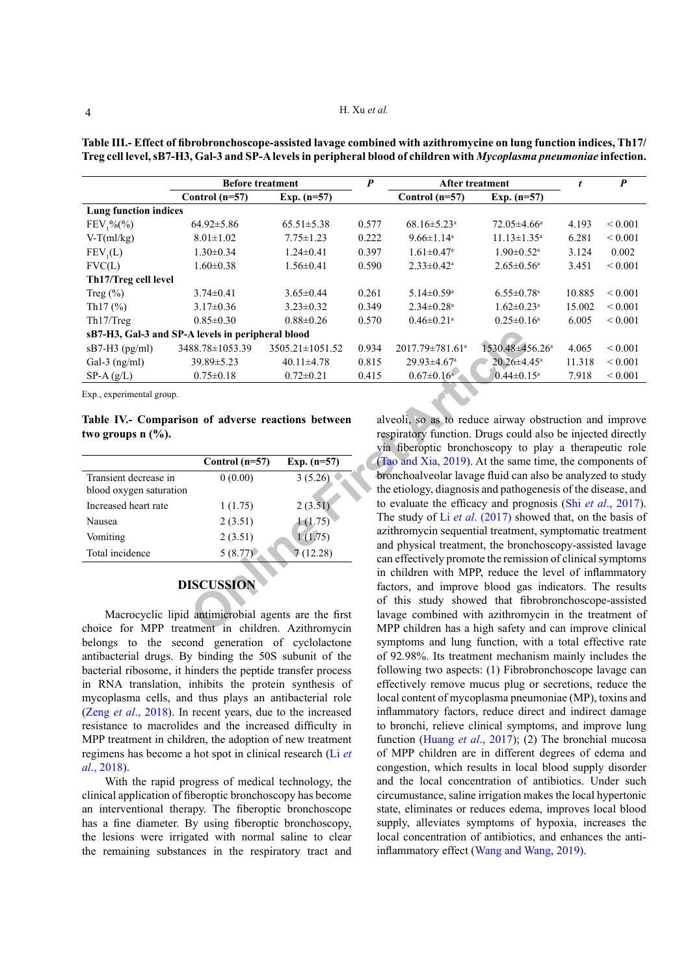|                                                   | <b>Before treatment</b> |                       | $\boldsymbol{P}$ | <b>After treatment</b>        |                               | t      | $\boldsymbol{P}$ |
|---------------------------------------------------|-------------------------|-----------------------|------------------|-------------------------------|-------------------------------|--------|------------------|
|                                                   | Control $(n=57)$        | Exp. $(n=57)$         |                  | Control $(n=57)$              | Exp. $(n=57)$                 |        |                  |
| <b>Lung function indices</b>                      |                         |                       |                  |                               |                               |        |                  |
| $FEV_1\%(\%)$                                     | $64.92 \pm 5.86$        | $65.51 \pm 5.38$      | 0.577            | $68.16 \pm 5.23$ <sup>a</sup> | $72.05 \pm 4.66^a$            | 4.193  | ${}_{0.001}$     |
| $V-T(ml/kg)$                                      | $8.01 \pm 1.02$         | $7.75 \pm 1.23$       | 0.222            | $9.66 \pm 1.14$ <sup>a</sup>  | $11.13 \pm 1.35^a$            | 6.281  | ${}_{0.001}$     |
| FEV <sub>1</sub> (L)                              | $1.30 \pm 0.34$         | $1.24 \pm 0.41$       | 0.397            | $1.61 \pm 0.47$ <sup>a</sup>  | $1.90 \pm 0.52$ <sup>a</sup>  | 3.124  | 0.002            |
| FVC(L)                                            | $1.60 \pm 0.38$         | $1.56 \pm 0.41$       | 0.590            | $2.33 \pm 0.42$ <sup>a</sup>  | $2.65 \pm 0.56$ <sup>a</sup>  | 3.451  | ${}_{0.001}$     |
| Th17/Treg cell level                              |                         |                       |                  |                               |                               |        |                  |
| Treg $(\% )$                                      | $3.74 \pm 0.41$         | $3.65 \pm 0.44$       | 0.261            | $5.14 \pm 0.59$ <sup>a</sup>  | $6.55 \pm 0.78$ <sup>a</sup>  | 10.885 | ${}_{0.001}$     |
| Th $17(%)$                                        | $3.17\pm0.36$           | $3.23 \pm 0.32$       | 0.349            | $2.34 \pm 0.28$ <sup>a</sup>  | $1.62 \pm 0.23$ <sup>a</sup>  | 15.002 | ${}_{0.001}$     |
| Th <sub>17</sub> /Treg                            | $0.85 \pm 0.30$         | $0.88 \pm 0.26$       | 0.570            | $0.46 \pm 0.21$ <sup>a</sup>  | $0.25 \pm 0.16^a$             | 6.005  | ${}_{0.001}$     |
| sB7-H3, Gal-3 and SP-A levels in peripheral blood |                         |                       |                  |                               |                               |        |                  |
| $sB7-H3$ (pg/ml)                                  | 3488.78±1053.39         | $3505.21 \pm 1051.52$ | 0.934            | 2017.79±781.61ª               | 1530.48±456.26 <sup>a</sup>   | 4.065  | ${}_{0.001}$     |
| Gal-3 $(ng/ml)$                                   | 39.89±5.23              | $40.11 \pm 4.78$      | 0.815            | $29.93 \pm 4.67$ <sup>a</sup> | $20.26 \pm 4.45$ <sup>a</sup> | 11.318 | ${}_{0.001}$     |
| $SP-A(g/L)$                                       | $0.75 \pm 0.18$         | $0.72 \pm 0.21$       | 0.415            | $0.67 \pm 0.16$ <sup>a</sup>  | $0.44 \pm 0.15$ <sup>a</sup>  | 7.918  | ${}_{0.001}$     |

<span id="page-3-0"></span>**Table III.- Effect of fibrobronchoscope-assisted lavage combined with azithromycine on lung function indices, Th17/ Treg cell level, sB7-H3, Gal-3 and SP-A levels in peripheral blood of children with** *Mycoplasma pneumoniae* **infection.**

Exp., experimental group.

**Table IV.- Comparison of adverse reactions between two groups n (%).**

|                                                  | Control $(n=57)$ | Exp. $(n=57)$ |
|--------------------------------------------------|------------------|---------------|
| Transient decrease in<br>blood oxygen saturation | 0(0.00)          | 3(5.26)       |
| Increased heart rate                             | 1(1.75)          | 2(3.51)       |
| Nausea                                           | 2(3.51)          | 1(1.75)       |
| Vomiting                                         | 2(3.51)          | 1(1.75)       |
| Total incidence                                  | 5(8.77)          | 7(12.28)      |

# <span id="page-3-1"></span>**DISCUSSION**

Macrocyclic lipid antimicrobial agents are the first choice for MPP treatment in children. Azithromycin belongs to the second generation of cyclolactone antibacterial drugs. By binding the 50S subunit of the bacterial ribosome, it hinders the peptide transfer process in RNA translation, inhibits the protein synthesis of mycoplasma cells, and thus plays an antibacterial role (Zeng *et al*[., 2018\)](#page-5-4). In recent years, due to the increased resistance to macrolides and the increased difficulty in MPP treatment in children, the adoption of new treatment regimens has become a hot spot in clinical research ([Li](#page-5-5) *et al*[., 2018\)](#page-5-5).

With the rapid progress of medical technology, the clinical application of fiberoptic bronchoscopy has become an interventional therapy. The fiberoptic bronchoscope has a fine diameter. By using fiberoptic bronchoscopy, the lesions were irrigated with normal saline to clear the remaining substances in the respiratory tract and

**A levels in peripheral blood**<br>
88.78±1053.39 3505.21±1051.52 0.934 2017.79±781.61<sup>a</sup> 1530.48±45<br>
39.89±5.23 40.11±4.78 0.815 29.93±4.67<sup>a</sup> 20.26±4.<br>
0.75±0.18 0.72±0.21 0.415 0.67±0.16 20.26±4.<br>
0.75±0.18 0.72±0.21 0.415 alveoli, so as to reduce airway obstruction and improve respiratory function. Drugs could also be injected directly via fiberoptic bronchoscopy to play a therapeutic role (Tao and Xia, 2019). At the same time, the components of bronchoalveolar lavage fluid can also be analyzed to study the etiology, diagnosis and pathogenesis of the disease, and to evaluate the efficacy and prognosis (Shi *et al*[., 2017](#page-5-7)). The study of Li *et al*. (2017) showed that, on the basis of azithromycin sequential treatment, symptomatic treatment and physical treatment, the bronchoscopy-assisted lavage can effectively promote the remission of clinical symptoms in children with MPP, reduce the level of inflammatory factors, and improve blood gas indicators. The results of this study showed that fibrobronchoscope-assisted lavage combined with azithromycin in the treatment of MPP children has a high safety and can improve clinical symptoms and lung function, with a total effective rate of 92.98%. Its treatment mechanism mainly includes the following two aspects: (1) Fibrobronchoscope lavage can effectively remove mucus plug or secretions, reduce the local content of mycoplasma pneumoniae (MP), toxins and inflammatory factors, reduce direct and indirect damage to bronchi, relieve clinical symptoms, and improve lung function [\(Huang](#page-5-8) *et al*., 2017); (2) The bronchial mucosa of MPP children are in different degrees of edema and congestion, which results in local blood supply disorder and the local concentration of antibiotics. Under such circumustance, saline irrigation makes the local hypertonic state, eliminates or reduces edema, improves local blood supply, alleviates symptoms of hypoxia, increases the local concentration of antibiotics, and enhances the antiinflammatory effect ([Wang and Wang, 2019](#page-5-9)).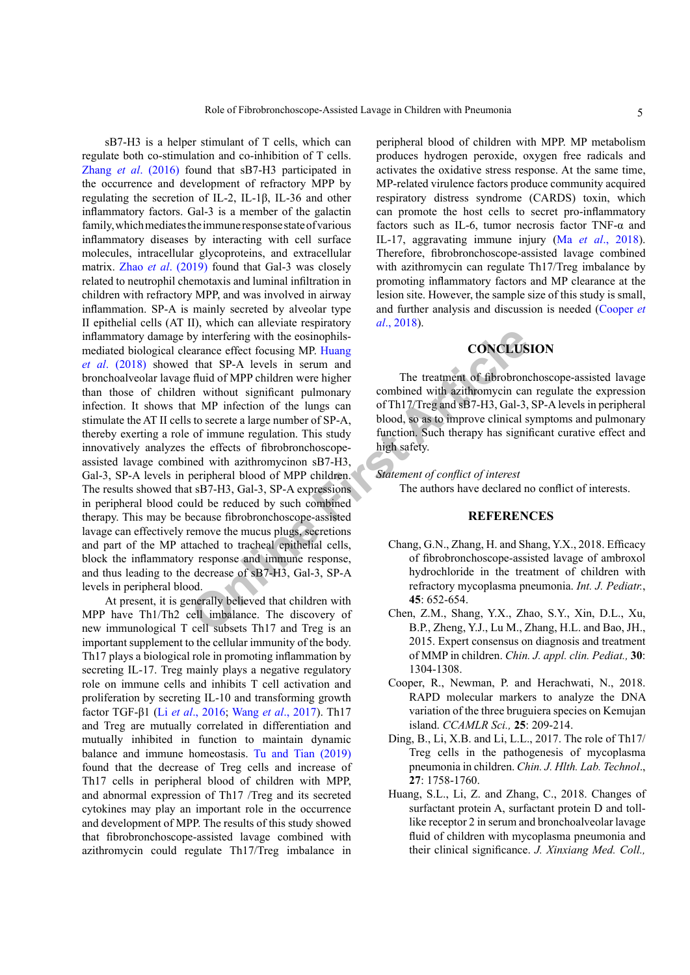by interfering with the eosinophils-<br>
earance effect focusing MP. Huang<br>
that SP-A levels in serum and<br>
thid of MPP children were higher The treatment of fibrobrone<br>
article method of MPP children with a strike the straine sB7-H3 is a helper stimulant of T cells, which can regulate both co-stimulation and co-inhibition of T cells. Zhang *et al*[. \(2016\)](#page-5-0) found that sB7-H3 participated in the occurrence and development of refractory MPP by regulating the secretion of IL-2, IL-1β, IL-36 and other inflammatory factors. Gal-3 is a member of the galactin family, which mediates the immune response state of various inflammatory diseases by interacting with cell surface molecules, intracellular glycoproteins, and extracellular matrix. Zhao *et al*[. \(2019\)](#page-5-10) found that Gal-3 was closely related to neutrophil chemotaxis and luminal infiltration in children with refractory MPP, and was involved in airway inflammation. SP-A is mainly secreted by alveolar type II epithelial cells (AT II), which can alleviate respiratory inflammatory damage by interfering with the eosinophilsmediated biological clearance effect focusing MP. Huang *et al*[. \(2018\)](#page-5-8) showed that SP-A levels in serum and bronchoalveolar lavage fluid of MPP children were higher than those of children without significant pulmonary infection. It shows that MP infection of the lungs can stimulate the AT II cells to secrete a large number of SP-A, thereby exerting a role of immune regulation. This study innovatively analyzes the effects of fibrobronchoscopeassisted lavage combined with azithromycinon sB7-H3, Gal-3, SP-A levels in peripheral blood of MPP children. The results showed that sB7-H3, Gal-3, SP-A expressions in peripheral blood could be reduced by such combined therapy. This may be because fibrobronchoscope-assisted lavage can effectively remove the mucus plugs, secretions and part of the MP attached to tracheal epithelial cells, block the inflammatory response and immune response, and thus leading to the decrease of sB7-H3, Gal-3, SP-A levels in peripheral blood.

At present, it is generally believed that children with MPP have Th1/Th2 cell imbalance. The discovery of new immunological T cell subsets Th17 and Treg is an important supplement to the cellular immunity of the body. Th17 plays a biological role in promoting inflammation by secreting IL-17. Treg mainly plays a negative regulatory role on immune cells and inhibits T cell activation and proliferation by secreting IL-10 and transforming growth factor TGF-β1 (Li *et al*[., 2016;](#page-5-5) Wang *et al*[., 2017](#page-5-9)). Th17 and Treg are mutually correlated in differentiation and mutually inhibited in function to maintain dynamic balance and immune homeostasis. [Tu and Tian \(2019\)](#page-5-6) found that the decrease of Treg cells and increase of Th17 cells in peripheral blood of children with MPP, and abnormal expression of Th17 /Treg and its secreted cytokines may play an important role in the occurrence and development of MPP. The results of this study showed that fibrobronchoscope-assisted lavage combined with azithromycin could regulate Th17/Treg imbalance in

peripheral blood of children with MPP. MP metabolism produces hydrogen peroxide, oxygen free radicals and activates the oxidative stress response. At the same time, MP-related virulence factors produce community acquired respiratory distress syndrome (CARDS) toxin, which can promote the host cells to secret pro-inflammatory factors such as IL-6, tumor necrosis factor TNF-α and IL-17, aggravating immune injury (Ma *et al*[., 2018](#page-5-11)). Therefore, fibrobronchoscope-assisted lavage combined with azithromycin can regulate Th17/Treg imbalance by promoting inflammatory factors and MP clearance at the lesion site. However, the sample size of this study is small, and further analysis and discussion is needed [\(Cooper](#page-4-2) *et al*[., 2018](#page-4-2)).

# **CONCLUSION**

The treatment of fibrobronchoscope-assisted lavage combined with azithromycin can regulate the expression of Th17/Treg and sB7-H3, Gal-3, SP-A levels in peripheral blood, so as to improve clinical symptoms and pulmonary function. Such therapy has significant curative effect and high safety.

*Statement of conflict of interest*

The authors have declared no conflict of interests.

# **REFERENCES**

- <span id="page-4-0"></span>Chang, G.N., Zhang, H. and Shang, Y.X., 2018. Efficacy of fibrobronchoscope-assisted lavage of ambroxol hydrochloride in the treatment of children with refractory mycoplasma pneumonia. *Int. J. Pediatr.*, **45**: 652-654.
- Chen, Z.M., Shang, Y.X., Zhao, S.Y., Xin, D.L., Xu, B.P., Zheng, Y.J., Lu M., Zhang, H.L. and Bao, JH., 2015. Expert consensus on diagnosis and treatment of MMP in children. *Chin. J. appl. clin. Pediat.,* **30**: 1304-1308.
- <span id="page-4-2"></span>Cooper, R., Newman, P. and Herachwati, N., 2018. RAPD molecular markers to analyze the DNA variation of the three bruguiera species on Kemujan island. *CCAMLR Sci.,* **25**: 209-214.
- <span id="page-4-1"></span>Ding, B., Li, X.B. and Li, L.L., 2017. The role of Th17/ Treg cells in the pathogenesis of mycoplasma pneumonia in children. *Chin. J. Hlth. Lab. Technol*., **27**: 1758-1760.
- Huang, S.L., Li, Z. and Zhang, C., 2018. Changes of surfactant protein A, surfactant protein D and tolllike receptor 2 in serum and bronchoalveolar lavage fluid of children with mycoplasma pneumonia and their clinical significance. *J. Xinxiang Med. Coll.,*